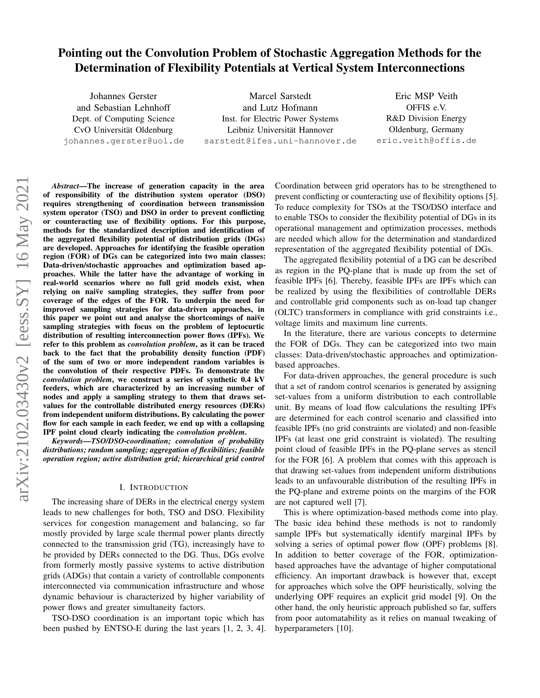# Pointing out the Convolution Problem of Stochastic Aggregation Methods for the Determination of Flexibility Potentials at Vertical System Interconnections

Johannes Gerster and Sebastian Lehnhoff Dept. of Computing Science CvO Universität Oldenburg johannes.gerster@uol.de

Marcel Sarstedt and Lutz Hofmann Inst. for Electric Power Systems Leibniz Universität Hannover sarstedt@ifes.uni-hannover.de

Eric MSP Veith OFFIS e.V. R&D Division Energy Oldenburg, Germany eric.veith@offis.de

*Abstract*—The increase of generation capacity in the area of responsibility of the distribution system operator (DSO) requires strengthening of coordination between transmission system operator (TSO) and DSO in order to prevent conflicting or counteracting use of flexibility options. For this purpose, methods for the standardized description and identification of the aggregated flexibility potential of distribution grids (DGs) are developed. Approaches for identifying the feasible operation region (FOR) of DGs can be categorized into two main classes: Data-driven/stochastic approaches and optimization based approaches. While the latter have the advantage of working in real-world scenarios where no full grid models exist, when relying on naive sampling strategies, they suffer from poor coverage of the edges of the FOR. To underpin the need for improved sampling strategies for data-driven approaches, in this paper we point out and analyse the shortcomings of naive sampling strategies with focus on the problem of leptocurtic distribution of resulting interconnection power flows (IPFs). We refer to this problem as *convolution problem*, as it can be traced back to the fact that the probability density function (PDF) of the sum of two or more independent random variables is the convolution of their respective PDFs. To demonstrate the *convolution problem*, we construct a series of synthetic 0.4 kV feeders, which are characterized by an increasing number of nodes and apply a sampling strategy to them that draws setvalues for the controllable distributed energy resources (DERs) from independent uniform distributions. By calculating the power flow for each sample in each feeder, we end up with a collapsing IPF point cloud clearly indicating the *convolution problem*.

*Keywords*—*TSO/DSO-coordination; convolution of probability distributions; random sampling; aggregation of flexibilities; feasible operation region; active distribution grid; hierarchical grid control*

#### I. INTRODUCTION

The increasing share of DERs in the electrical energy system leads to new challenges for both, TSO and DSO. Flexibility services for congestion management and balancing, so far mostly provided by large scale thermal power plants directly connected to the transmission grid (TG), increasingly have to be provided by DERs connected to the DG. Thus, DGs evolve from formerly mostly passive systems to active distribution grids (ADGs) that contain a variety of controllable components interconnected via communication infrastructure and whose dynamic behaviour is characterized by higher variability of power flows and greater simultaneity factors.

TSO-DSO coordination is an important topic which has been pushed by ENTSO-E during the last years [\[1,](#page-5-0) [2,](#page-5-1) [3,](#page-6-0) [4\]](#page-6-1). Coordination between grid operators has to be strengthened to prevent conflicting or counteracting use of flexibility options [\[5\]](#page-6-2). To reduce complexity for TSOs at the TSO/DSO interface and to enable TSOs to consider the flexibility potential of DGs in its operational management and optimization processes, methods are needed which allow for the determination and standardized representation of the aggregated flexibility potential of DGs.

The aggregated flexibility potential of a DG can be described as region in the PQ-plane that is made up from the set of feasible IPFs [\[6\]](#page-6-3). Thereby, feasible IPFs are IPFs which can be realized by using the flexibilities of controllable DERs and controllable grid components such as on-load tap changer (OLTC) transformers in compliance with grid constraints i.e., voltage limits and maximum line currents.

In the literature, there are various concepts to determine the FOR of DGs. They can be categorized into two main classes: Data-driven/stochastic approaches and optimizationbased approaches.

For data-driven approaches, the general procedure is such that a set of random control scenarios is generated by assigning set-values from a uniform distribution to each controllable unit. By means of load flow calculations the resulting IPFs are determined for each control scenario and classified into feasible IPFs (no grid constraints are violated) and non-feasible IPFs (at least one grid constraint is violated). The resulting point cloud of feasible IPFs in the PQ-plane serves as stencil for the FOR [\[6\]](#page-6-3). A problem that comes with this approach is that drawing set-values from independent uniform distributions leads to an unfavourable distribution of the resulting IPFs in the PQ-plane and extreme points on the margins of the FOR are not captured well [\[7\]](#page-6-4).

This is where optimization-based methods come into play. The basic idea behind these methods is not to randomly sample IPFs but systematically identify marginal IPFs by solving a series of optimal power flow (OPF) problems [\[8\]](#page-6-5). In addition to better coverage of the FOR, optimizationbased approaches have the advantage of higher computational efficiency. An important drawback is however that, except for approaches which solve the OPF heuristically, solving the underlying OPF requires an explicit grid model [\[9\]](#page-6-6). On the other hand, the only heuristic approach published so far, suffers from poor automatability as it relies on manual tweaking of hyperparameters [\[10\]](#page-6-7).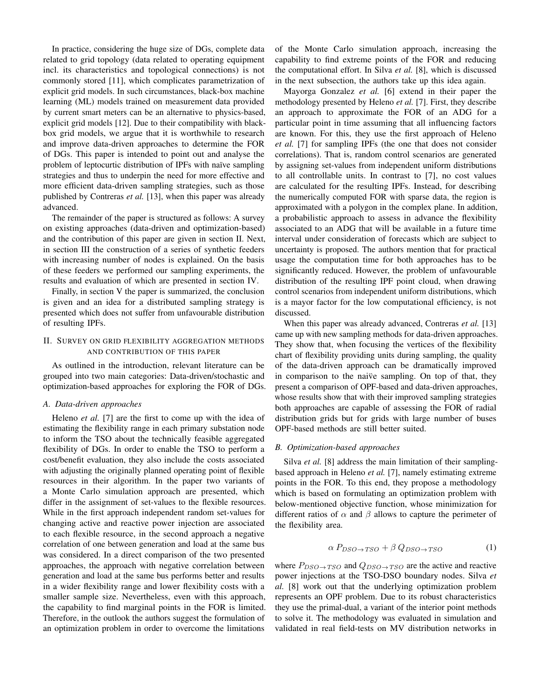In practice, considering the huge size of DGs, complete data related to grid topology (data related to operating equipment incl. its characteristics and topological connections) is not commonly stored [\[11\]](#page-6-8), which complicates parametrization of explicit grid models. In such circumstances, black-box machine learning (ML) models trained on measurement data provided by current smart meters can be an alternative to physics-based, explicit grid models [\[12\]](#page-6-9). Due to their compatibility with blackbox grid models, we argue that it is worthwhile to research and improve data-driven approaches to determine the FOR of DGs. This paper is intended to point out and analyse the problem of leptocurtic distribution of IPFs with naïve sampling strategies and thus to underpin the need for more effective and more efficient data-driven sampling strategies, such as those published by Contreras *et al.* [\[13\]](#page-6-10), when this paper was already advanced.

The remainder of the paper is structured as follows: A survey on existing approaches (data-driven and optimization-based) and the contribution of this paper are given in [section II.](#page-1-0) Next, in [section III](#page-2-0) the construction of a series of synthetic feeders with increasing number of nodes is explained. On the basis of these feeders we performed our sampling experiments, the results and evaluation of which are presented in [section IV.](#page-3-0)

Finally, in [section V](#page-5-2) the paper is summarized, the conclusion is given and an idea for a distributed sampling strategy is presented which does not suffer from unfavourable distribution of resulting IPFs.

## <span id="page-1-0"></span>II. SURVEY ON GRID FLEXIBILITY AGGREGATION METHODS AND CONTRIBUTION OF THIS PAPER

As outlined in the introduction, relevant literature can be grouped into two main categories: Data-driven/stochastic and optimization-based approaches for exploring the FOR of DGs.

#### *A. Data-driven approaches*

Heleno *et al.* [\[7\]](#page-6-4) are the first to come up with the idea of estimating the flexibility range in each primary substation node to inform the TSO about the technically feasible aggregated flexibility of DGs. In order to enable the TSO to perform a cost/benefit evaluation, they also include the costs associated with adjusting the originally planned operating point of flexible resources in their algorithm. In the paper two variants of a Monte Carlo simulation approach are presented, which differ in the assignment of set-values to the flexible resources. While in the first approach independent random set-values for changing active and reactive power injection are associated to each flexible resource, in the second approach a negative correlation of one between generation and load at the same bus was considered. In a direct comparison of the two presented approaches, the approach with negative correlation between generation and load at the same bus performs better and results in a wider flexibility range and lower flexibility costs with a smaller sample size. Nevertheless, even with this approach, the capability to find marginal points in the FOR is limited. Therefore, in the outlook the authors suggest the formulation of an optimization problem in order to overcome the limitations

of the Monte Carlo simulation approach, increasing the capability to find extreme points of the FOR and reducing the computational effort. In Silva *et al.* [\[8\]](#page-6-5), which is discussed in the next subsection, the authors take up this idea again.

Mayorga Gonzalez *et al.* [\[6\]](#page-6-3) extend in their paper the methodology presented by Heleno *et al.* [\[7\]](#page-6-4). First, they describe an approach to approximate the FOR of an ADG for a particular point in time assuming that all influencing factors are known. For this, they use the first approach of Heleno *et al.* [\[7\]](#page-6-4) for sampling IPFs (the one that does not consider correlations). That is, random control scenarios are generated by assigning set-values from independent uniform distributions to all controllable units. In contrast to [\[7\]](#page-6-4), no cost values are calculated for the resulting IPFs. Instead, for describing the numerically computed FOR with sparse data, the region is approximated with a polygon in the complex plane. In addition, a probabilistic approach to assess in advance the flexibility associated to an ADG that will be available in a future time interval under consideration of forecasts which are subject to uncertainty is proposed. The authors mention that for practical usage the computation time for both approaches has to be significantly reduced. However, the problem of unfavourable distribution of the resulting IPF point cloud, when drawing control scenarios from independent uniform distributions, which is a mayor factor for the low computational efficiency, is not discussed.

When this paper was already advanced, Contreras *et al.* [\[13\]](#page-6-10) came up with new sampling methods for data-driven approaches. They show that, when focusing the vertices of the flexibility chart of flexibility providing units during sampling, the quality of the data-driven approach can be dramatically improved in comparison to the naive sampling. On top of that, they present a comparison of OPF-based and data-driven approaches, whose results show that with their improved sampling strategies both approaches are capable of assessing the FOR of radial distribution grids but for grids with large number of buses OPF-based methods are still better suited.

## *B. Optimization-based approaches*

Silva *et al.* [\[8\]](#page-6-5) address the main limitation of their samplingbased approach in Heleno *et al.* [\[7\]](#page-6-4), namely estimating extreme points in the FOR. To this end, they propose a methodology which is based on formulating an optimization problem with below-mentioned objective function, whose minimization for different ratios of  $\alpha$  and  $\beta$  allows to capture the perimeter of the flexibility area.

$$
\alpha P_{DSO \to TSO} + \beta Q_{DSO \to TSO} \tag{1}
$$

where  $P_{DSO \to TSO}$  and  $Q_{DSO \to TSO}$  are the active and reactive power injections at the TSO-DSO boundary nodes. Silva *et al.* [\[8\]](#page-6-5) work out that the underlying optimization problem represents an OPF problem. Due to its robust characteristics they use the primal-dual, a variant of the interior point methods to solve it. The methodology was evaluated in simulation and validated in real field-tests on MV distribution networks in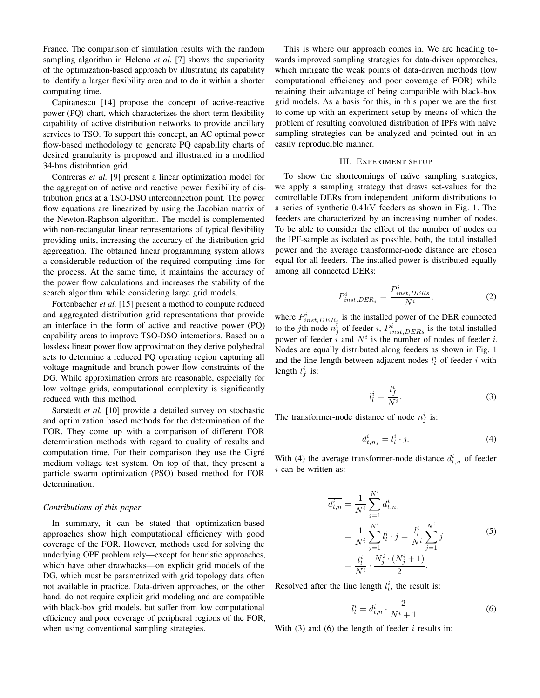France. The comparison of simulation results with the random sampling algorithm in Heleno *et al.* [\[7\]](#page-6-4) shows the superiority of the optimization-based approach by illustrating its capability to identify a larger flexibility area and to do it within a shorter computing time.

Capitanescu [\[14\]](#page-6-11) propose the concept of active-reactive power (PQ) chart, which characterizes the short-term flexibility capability of active distribution networks to provide ancillary services to TSO. To support this concept, an AC optimal power flow-based methodology to generate PQ capability charts of desired granularity is proposed and illustrated in a modified 34-bus distribution grid.

Contreras *et al.* [\[9\]](#page-6-6) present a linear optimization model for the aggregation of active and reactive power flexibility of distribution grids at a TSO-DSO interconnection point. The power flow equations are linearized by using the Jacobian matrix of the Newton-Raphson algorithm. The model is complemented with non-rectangular linear representations of typical flexibility providing units, increasing the accuracy of the distribution grid aggregation. The obtained linear programming system allows a considerable reduction of the required computing time for the process. At the same time, it maintains the accuracy of the power flow calculations and increases the stability of the search algorithm while considering large grid models.

Fortenbacher *et al.* [\[15\]](#page-6-12) present a method to compute reduced and aggregated distribution grid representations that provide an interface in the form of active and reactive power (PQ) capability areas to improve TSO-DSO interactions. Based on a lossless linear power flow approximation they derive polyhedral sets to determine a reduced PQ operating region capturing all voltage magnitude and branch power flow constraints of the DG. While approximation errors are reasonable, especially for low voltage grids, computational complexity is significantly reduced with this method.

Sarstedt *et al.* [\[10\]](#page-6-7) provide a detailed survey on stochastic and optimization based methods for the determination of the FOR. They come up with a comparison of different FOR determination methods with regard to quality of results and computation time. For their comparison they use the Cigré medium voltage test system. On top of that, they present a particle swarm optimization (PSO) based method for FOR determination.

### *Contributions of this paper*

In summary, it can be stated that optimization-based approaches show high computational efficiency with good coverage of the FOR. However, methods used for solving the underlying OPF problem rely—except for heuristic approaches, which have other drawbacks—on explicit grid models of the DG, which must be parametrized with grid topology data often not available in practice. Data-driven approaches, on the other hand, do not require explicit grid modeling and are compatible with black-box grid models, but suffer from low computational efficiency and poor coverage of peripheral regions of the FOR, when using conventional sampling strategies.

This is where our approach comes in. We are heading towards improved sampling strategies for data-driven approaches, which mitigate the weak points of data-driven methods (low computational efficiency and poor coverage of FOR) while retaining their advantage of being compatible with black-box grid models. As a basis for this, in this paper we are the first to come up with an experiment setup by means of which the problem of resulting convoluted distribution of IPFs with naïve sampling strategies can be analyzed and pointed out in an easily reproducible manner.

#### III. EXPERIMENT SETUP

<span id="page-2-0"></span>To show the shortcomings of naïve sampling strategies, we apply a sampling strategy that draws set-values for the controllable DERs from independent uniform distributions to a series of synthetic 0.4 kV feeders as shown in Fig. [1.](#page-3-1) The feeders are characterized by an increasing number of nodes. To be able to consider the effect of the number of nodes on the IPF-sample as isolated as possible, both, the total installed power and the average transformer-node distance are chosen equal for all feeders. The installed power is distributed equally among all connected DERs:

<span id="page-2-4"></span>
$$
P_{inst, DER_j}^i = \frac{P_{inst, DERs}^i}{N^i},\tag{2}
$$

where  $P_{inst, DER_j}^i$  is the installed power of the DER connected to the *j*th node  $n_j^i$  of feeder *i*,  $P_{inst,DERs}^i$  is the total installed power of feeder  $\hat{i}$  and  $N^i$  is the number of nodes of feeder  $i$ . Nodes are equally distributed along feeders as shown in Fig. [1](#page-3-1) and the line length between adjacent nodes  $l_i^i$  of feeder i with length  $l_f^i$  is:

<span id="page-2-2"></span>
$$
l_l^i = \frac{l_f^i}{N^i}.\tag{3}
$$

The transformer-node distance of node  $n_j^i$  is:

<span id="page-2-1"></span>
$$
d_{t,n_j}^i = l_l^i \cdot j. \tag{4}
$$

With [\(4\)](#page-2-1) the average transformer-node distance  $d_{t,n}^i$  of feeder  $i$  can be written as:

$$
\overline{d_{t,n}^{i}} = \frac{1}{N^{i}} \sum_{j=1}^{N^{i}} d_{t,n_{j}}^{i}
$$
\n
$$
= \frac{1}{N^{i}} \sum_{j=1}^{N^{i}} l_{l}^{i} \cdot j = \frac{l_{l}^{i}}{N^{i}} \sum_{j=1}^{N^{i}} j
$$
\n
$$
= \frac{l_{l}^{i}}{N^{i}} \cdot \frac{N_{j}^{i} \cdot (N_{j}^{i} + 1)}{2}.
$$
\n(5)

Resolved after the line length  $l_i^i$ , the result is:

<span id="page-2-3"></span>
$$
l_l^i = \overline{d_{t,n}^i} \cdot \frac{2}{N^i + 1}.\tag{6}
$$

With [\(3\)](#page-2-2) and [\(6\)](#page-2-3) the length of feeder  $i$  results in: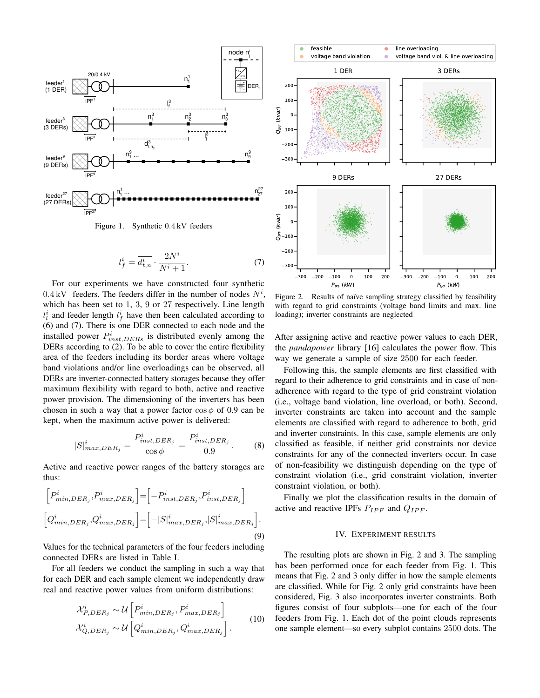<span id="page-3-1"></span>

Figure 1. Synthetic 0.4 kV feeders

<span id="page-3-2"></span>
$$
l_f^i = \overline{d_{t,n}^i} \cdot \frac{2N^i}{N^i + 1}.\tag{7}
$$

For our experiments we have constructed four synthetic  $0.4 \, \text{kV}$  feeders. The feeders differ in the number of nodes  $N^i$ , which has been set to 1, 3, 9 or 27 respectively. Line length  $l_i^i$  and feeder length  $l_f^i$  have then been calculated according to [\(6\)](#page-2-3) and [\(7\)](#page-3-2). There is one DER connected to each node and the installed power  $P_{inst, DERs}^{i}$  is distributed evenly among the DERs according to [\(2\)](#page-2-4). To be able to cover the entire flexibility area of the feeders including its border areas where voltage band violations and/or line overloadings can be observed, all DERs are inverter-connected battery storages because they offer maximum flexibility with regard to both, active and reactive power provision. The dimensioning of the inverters has been chosen in such a way that a power factor  $\cos \phi$  of 0.9 can be kept, when the maximum active power is delivered:

$$
|S|_{max,DER_j}^i = \frac{P_{inst,DER_j}^i}{\cos \phi} = \frac{P_{inst,DER_j}^i}{0.9}.
$$
 (8)

Active and reactive power ranges of the battery storages are thus:

<span id="page-3-4"></span>
$$
\begin{bmatrix} P_{min,DER_j}^i, P_{max,DER_j}^i \end{bmatrix} = \begin{bmatrix} -P_{inst,DER_j}^i, P_{inst, DER_j}^i \end{bmatrix}
$$

$$
\begin{bmatrix} Q_{min,DER_j}^i, Q_{max,DER_j}^i \end{bmatrix} = \begin{bmatrix} -|S|_{max,DER_j}^i, |S|_{max,DER_j}^i \end{bmatrix}.
$$

$$
(9)
$$

Values for the technical parameters of the four feeders including connected DERs are listed in Table [I.](#page-4-0)

For all feeders we conduct the sampling in such a way that for each DER and each sample element we independently draw real and reactive power values from uniform distributions:

<span id="page-3-5"></span>
$$
\mathcal{X}_{P,DER_j}^i \sim \mathcal{U}\left[P_{min,DER_j}^i, P_{max,DER_j}^i\right]
$$
\n
$$
\mathcal{X}_{Q,DER_j}^i \sim \mathcal{U}\left[Q_{min,DER_j}^i, Q_{max,DER_j}^i\right].
$$
\n(10)

<span id="page-3-3"></span>

Figure 2. Results of naïve sampling strategy classified by feasibility with regard to grid constraints (voltage band limits and max. line loading); inverter constraints are neglected

After assigning active and reactive power values to each DER, the *pandapower* library [\[16\]](#page-6-13) calculates the power flow. This way we generate a sample of size 2500 for each feeder.

Following this, the sample elements are first classified with regard to their adherence to grid constraints and in case of nonadherence with regard to the type of grid constraint violation (i.e., voltage band violation, line overload, or both). Second, inverter constraints are taken into account and the sample elements are classified with regard to adherence to both, grid and inverter constraints. In this case, sample elements are only classified as feasible, if neither grid constraints nor device constraints for any of the connected inverters occur. In case of non-feasibility we distinguish depending on the type of constraint violation (i.e., grid constraint violation, inverter constraint violation, or both).

Finally we plot the classification results in the domain of active and reactive IPFs  $P_{IPF}$  and  $Q_{IPF}$ .

#### IV. EXPERIMENT RESULTS

<span id="page-3-0"></span>The resulting plots are shown in Fig. [2](#page-3-3) and [3.](#page-4-1) The sampling has been performed once for each feeder from Fig. [1.](#page-3-1) This means that Fig. [2](#page-3-3) and [3](#page-4-1) only differ in how the sample elements are classified. While for Fig. [2](#page-3-3) only grid constraints have been considered, Fig. [3](#page-4-1) also incorporates inverter constraints. Both figures consist of four subplots—one for each of the four feeders from Fig. [1.](#page-3-1) Each dot of the point clouds represents one sample element—so every subplot contains 2500 dots. The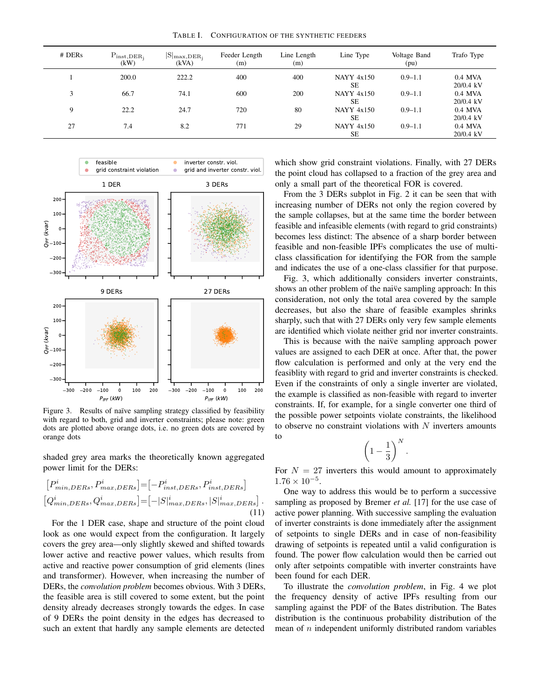TABLE I. CONFIGURATION OF THE SYNTHETIC FEEDERS

<span id="page-4-0"></span>

| $#$ DERs | $P_{inst, DER_i}$<br>(kW) | $ S _{max,DER_i}$<br>(kVA) | Feeder Length<br>(m) | Line Length<br>(m) | Line Type                      | Voltage Band<br>(pu) | Trafo Type               |
|----------|---------------------------|----------------------------|----------------------|--------------------|--------------------------------|----------------------|--------------------------|
|          | 200.0                     | 222.2                      | 400                  | 400                | <b>NAYY 4x150</b><br><b>SE</b> | $0.9 - 1.1$          | $0.4$ MVA<br>$20/0.4$ kV |
| 3        | 66.7                      | 74.1                       | 600                  | 200                | <b>NAYY 4x150</b><br>SЕ        | $0.9 - 1.1$          | $0.4$ MVA<br>$20/0.4$ kV |
| 9        | 22.2                      | 24.7                       | 720                  | 80                 | <b>NAYY 4x150</b><br><b>SE</b> | $0.9 - 1.1$          | $0.4$ MVA<br>$20/0.4$ kV |
| 27       | 7.4                       | 8.2                        | 771                  | 29                 | <b>NAYY 4x150</b><br><b>SE</b> | $0.9 - 1.1$          | $0.4$ MVA<br>$20/0.4$ kV |

<span id="page-4-1"></span>

Figure 3. Results of naïve sampling strategy classified by feasibility with regard to both, grid and inverter constraints; please note: green dots are plotted above orange dots, i.e. no green dots are covered by orange dots

shaded grey area marks the theoretically known aggregated power limit for the DERs:

$$
[P_{min,DERs}^i, P_{max,DERs}^i] = [-P_{inst,DERs}^i, P_{inst,DERs}^i]
$$

$$
[Q_{min,DERs}^i, Q_{max,DERs}^i] = [-|S|_{max,DERs}^i, |S|_{max,DERs}^i].
$$

$$
(11)
$$

For the 1 DER case, shape and structure of the point cloud look as one would expect from the configuration. It largely covers the grey area—only slightly skewed and shifted towards lower active and reactive power values, which results from active and reactive power consumption of grid elements (lines and transformer). However, when increasing the number of DERs, the *convolution problem* becomes obvious. With 3 DERs, the feasible area is still covered to some extent, but the point density already decreases strongly towards the edges. In case of 9 DERs the point density in the edges has decreased to such an extent that hardly any sample elements are detected

which show grid constraint violations. Finally, with 27 DERs the point cloud has collapsed to a fraction of the grey area and only a small part of the theoretical FOR is covered.

From the 3 DERs subplot in Fig. [2](#page-3-3) it can be seen that with increasing number of DERs not only the region covered by the sample collapses, but at the same time the border between feasible and infeasible elements (with regard to grid constraints) becomes less distinct: The absence of a sharp border between feasible and non-feasible IPFs complicates the use of multiclass classification for identifying the FOR from the sample and indicates the use of a one-class classifier for that purpose.

Fig. [3,](#page-4-1) which additionally considers inverter constraints, shows an other problem of the naive sampling approach: In this consideration, not only the total area covered by the sample decreases, but also the share of feasible examples shrinks sharply, such that with 27 DERs only very few sample elements are identified which violate neither grid nor inverter constraints.

This is because with the naive sampling approach power values are assigned to each DER at once. After that, the power flow calculation is performed and only at the very end the feasiblity with regard to grid and inverter constraints is checked. Even if the constraints of only a single inverter are violated, the example is classified as non-feasible with regard to inverter constraints. If, for example, for a single converter one third of the possible power setpoints violate constraints, the likelihood to observe no constraint violations with  $N$  inverters amounts to

$$
\left(1-\frac{1}{3}\right)^N.
$$

For  $N = 27$  inverters this would amount to approximately  $1.76 \times 10^{-5}$ .

One way to address this would be to perform a successive sampling as proposed by Bremer *et al.* [\[17\]](#page-6-14) for the use case of active power planning. With successive sampling the evaluation of inverter constraints is done immediately after the assignment of setpoints to single DERs and in case of non-feasibility drawing of setpoints is repeated until a valid configuration is found. The power flow calculation would then be carried out only after setpoints compatible with inverter constraints have been found for each DER.

To illustrate the *convolution problem*, in Fig. [4](#page-5-3) we plot the frequency density of active IPFs resulting from our sampling against the PDF of the Bates distribution. The Bates distribution is the continuous probability distribution of the mean of  $n$  independent uniformly distributed random variables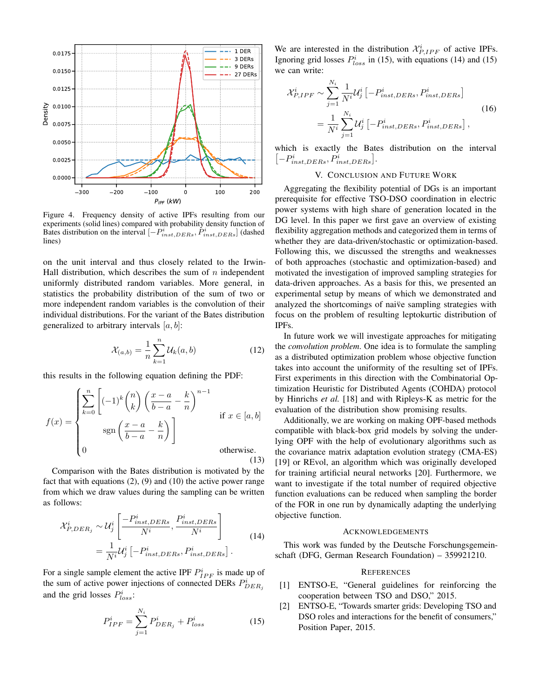<span id="page-5-3"></span>

Figure 4. Frequency density of active IPFs resulting from our experiments (solid lines) compared with probability density function of Bates distribution on the interval  $[-P_{inst,DERs}^i, P_{inst,DERs}^i]$  (dashed lines)

on the unit interval and thus closely related to the Irwin-Hall distribution, which describes the sum of  $n$  independent uniformly distributed random variables. More general, in statistics the probability distribution of the sum of two or more independent random variables is the convolution of their individual distributions. For the variant of the Bates distribution generalized to arbitrary intervals  $[a, b]$ :

$$
\mathcal{X}_{(a,b)} = \frac{1}{n} \sum_{k=1}^{n} \mathcal{U}_k(a,b) \tag{12}
$$

this results in the following equation defining the PDF:

$$
f(x) = \begin{cases} \sum_{k=0}^{n} \left[ (-1)^k \binom{n}{k} \left( \frac{x-a}{b-a} - \frac{k}{n} \right)^{n-1} & \text{if } x \in [a, b] \\ \text{sgn}\left( \frac{x-a}{b-a} - \frac{k}{n} \right) & \text{if } x \in [a, b] \\ 0 & \text{otherwise.} \end{cases}
$$
(13)

Comparison with the Bates distribution is motivated by the fact that with equations [\(2\)](#page-2-4), [\(9\)](#page-3-4) and [\(10\)](#page-3-5) the active power range from which we draw values during the sampling can be written as follows:

<span id="page-5-5"></span>
$$
\mathcal{X}_{P,DER_j}^i \sim \mathcal{U}_j^i \left[ \frac{-P_{inst,DERs}^i}{N^i}, \frac{P_{inst,DERs}^i}{N^i} \right] \n= \frac{1}{N^i} \mathcal{U}_j^i \left[ -P_{inst,DERs}^i, P_{inst,DERs}^i \right].
$$
\n(14)

For a single sample element the active IPF  $P_{IPF}^{i}$  is made up of the sum of active power injections of connected DERs  $P_{DER_j}^i$ and the grid losses  $P_{loss}^i$ :

<span id="page-5-4"></span>
$$
P_{IPF}^{i} = \sum_{j=1}^{N_i} P_{DER_j}^{i} + P_{loss}^{i}
$$
 (15)

We are interested in the distribution  $\mathcal{X}_{P,IPF}^{i}$  of active IPFs. Ignoring grid losses  $P_{loss}^i$  in [\(15\)](#page-5-4), with equations [\(14\)](#page-5-5) and (15) we can write:

$$
\mathcal{X}_{P,IPF}^{i} \sim \sum_{j=1}^{N_i} \frac{1}{N^i} \mathcal{U}_j^{i} \left[ -P_{inst,DERs}^{i}, P_{inst,DERs}^{i} \right]
$$

$$
= \frac{1}{N^i} \sum_{j=1}^{N_i} \mathcal{U}_j^{i} \left[ -P_{inst,DERs}^{i}, P_{inst,DERs}^{i} \right],
$$
(16)

which is exactly the Bates distribution on the interval  $\left[-P_{inst, DERs}^i, P_{inst, DERs}^i\right].$ 

## V. CONCLUSION AND FUTURE WORK

<span id="page-5-2"></span>Aggregating the flexibility potential of DGs is an important prerequisite for effective TSO-DSO coordination in electric power systems with high share of generation located in the DG level. In this paper we first gave an overview of existing flexibility aggregation methods and categorized them in terms of whether they are data-driven/stochastic or optimization-based. Following this, we discussed the strengths and weaknesses of both approaches (stochastic and optimization-based) and motivated the investigation of improved sampling strategies for data-driven approaches. As a basis for this, we presented an experimental setup by means of which we demonstrated and analyzed the shortcomings of naive sampling strategies with focus on the problem of resulting leptokurtic distribution of IPFs.

In future work we will investigate approaches for mitigating the *convolution problem*. One idea is to formulate the sampling as a distributed optimization problem whose objective function takes into account the uniformity of the resulting set of IPFs. First experiments in this direction with the Combinatorial Optimization Heuristic for Distributed Agents (COHDA) protocol by Hinrichs *et al.* [\[18\]](#page-6-15) and with Ripleys-K as metric for the evaluation of the distribution show promising results.

Additionally, we are working on making OPF-based methods compatible with black-box grid models by solving the underlying OPF with the help of evolutionary algorithms such as the covariance matrix adaptation evolution strategy (CMA-ES) [\[19\]](#page-6-16) or REvol, an algorithm which was originally developed for training artificial neural networks [\[20\]](#page-6-17). Furthermore, we want to investigate if the total number of required objective function evaluations can be reduced when sampling the border of the FOR in one run by dynamically adapting the underlying objective function.

#### ACKNOWLEDGEMENTS

This work was funded by the Deutsche Forschungsgemeinschaft (DFG, German Research Foundation) – 359921210.

#### **REFERENCES**

- <span id="page-5-0"></span>[1] ENTSO-E, "General guidelines for reinforcing the cooperation between TSO and DSO," 2015.
- <span id="page-5-1"></span>[2] ENTSO-E, "Towards smarter grids: Developing TSO and DSO roles and interactions for the benefit of consumers," Position Paper, 2015.